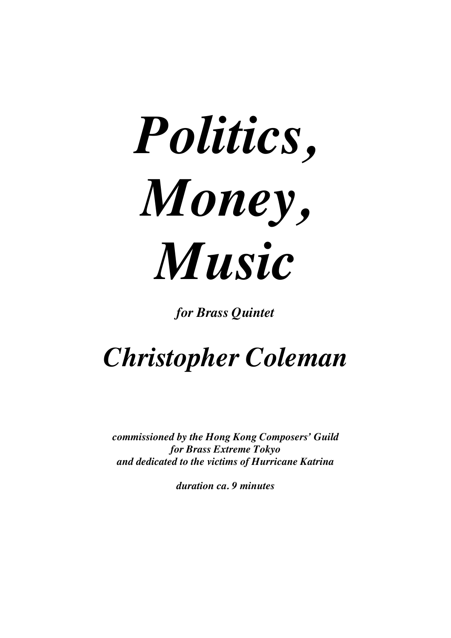*for Brass Quintet*

## *Christopher Coleman*

*commissioned by the Hong Kong Composers' Guild for Brass Extreme Tokyo and dedicated to the victims of Hurricane Katrina*

*duration ca. 9 minutes*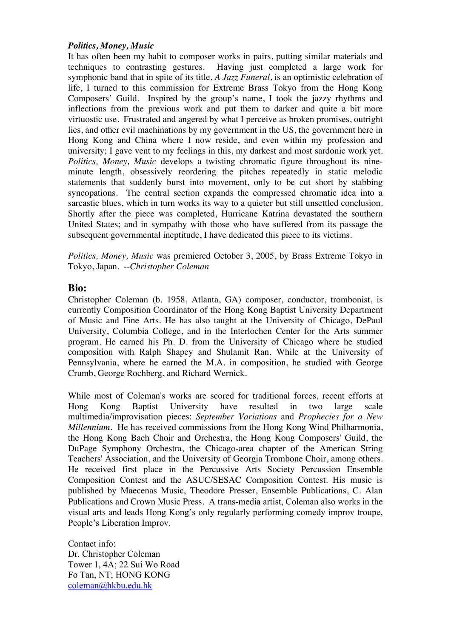It has often been my habit to composer works in pairs, putting similar materials and techniques to contrasting gestures. Having just completed a large work for symphonic band that in spite of its title, *A Jazz Funeral*, is an optimistic celebration of life, I turned to this commission for Extreme Brass Tokyo from the Hong Kong Composers' Guild. Inspired by the group's name, I took the jazzy rhythms and inflections from the previous work and put them to darker and quite a bit more virtuostic use. Frustrated and angered by what I perceive as broken promises, outright lies, and other evil machinations by my government in the US, the government here in Hong Kong and China where I now reside, and even within my profession and university; I gave vent to my feelings in this, my darkest and most sardonic work yet. *Politics, Money, Music* develops a twisting chromatic figure throughout its nineminute length, obsessively reordering the pitches repeatedly in static melodic statements that suddenly burst into movement, only to be cut short by stabbing syncopations. The central section expands the compressed chromatic idea into a sarcastic blues, which in turn works its way to a quieter but still unsettled conclusion. Shortly after the piece was completed, Hurricane Katrina devastated the southern United States; and in sympathy with those who have suffered from its passage the subsequent governmental ineptitude, I have dedicated this piece to its victims.

*Politics, Money, Music* was premiered October 3, 2005, by Brass Extreme Tokyo in Tokyo, Japan. --*Christopher Coleman*

#### **Bio:**

Christopher Coleman (b. 1958, Atlanta, GA) composer, conductor, trombonist, is currently Composition Coordinator of the Hong Kong Baptist University Department of Music and Fine Arts. He has also taught at the University of Chicago, DePaul University, Columbia College, and in the Interlochen Center for the Arts summer program. He earned his Ph. D. from the University of Chicago where he studied composition with Ralph Shapey and Shulamit Ran. While at the University of Pennsylvania, where he earned the M.A. in composition, he studied with George Crumb, George Rochberg, and Richard Wernick.

While most of Coleman's works are scored for traditional forces, recent efforts at Hong Kong Baptist University have resulted in two large scale multimedia/improvisation pieces: *September Variations* and *Prophecies for a New Millennium*. He has received commissions from the Hong Kong Wind Philharmonia, the Hong Kong Bach Choir and Orchestra, the Hong Kong Composers' Guild, the DuPage Symphony Orchestra, the Chicago-area chapter of the American String Teachers' Association, and the University of Georgia Trombone Choir, among others. He received first place in the Percussive Arts Society Percussion Ensemble Composition Contest and the ASUC/SESAC Composition Contest. His music is published by Maecenas Music, Theodore Presser, Ensemble Publications, C. Alan Publications and Crown Music Press. A trans-media artist, Coleman also works in the visual arts and leads Hong Kong's only regularly performing comedy improv troupe, People's Liberation Improv.

Contact info: Dr. Christopher Coleman Tower 1, 4A; 22 Sui Wo Road Fo Tan, NT; HONG KONG coleman@hkbu.edu.hk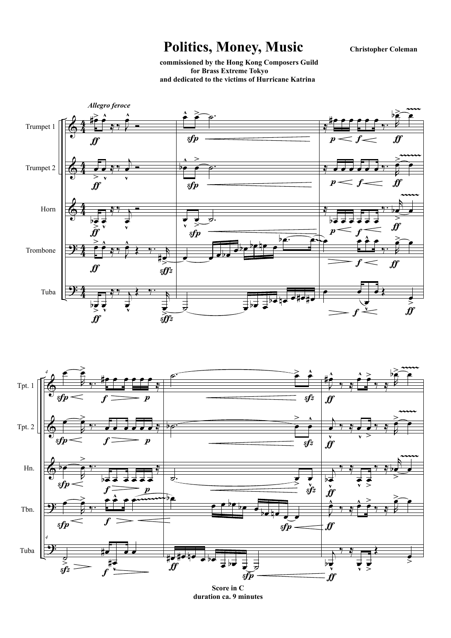### Politics, Money, Music **Christopher Coleman**

**commissioned by the Hong Kong Composers Guild for Brass Extreme Tokyo and dedicated to the victims of Hurricane Katrina**





**Score in C duration ca. 9 minutes**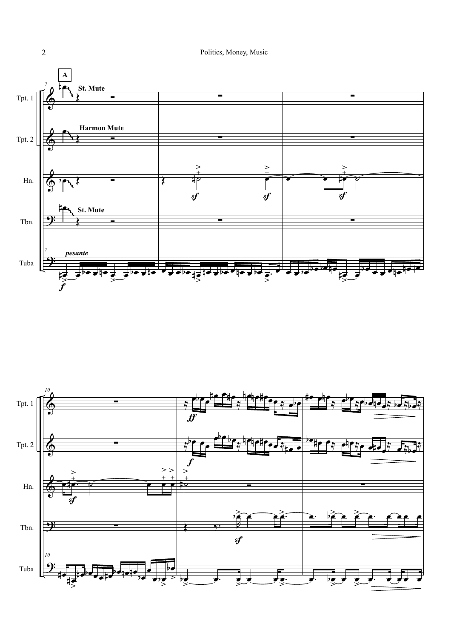

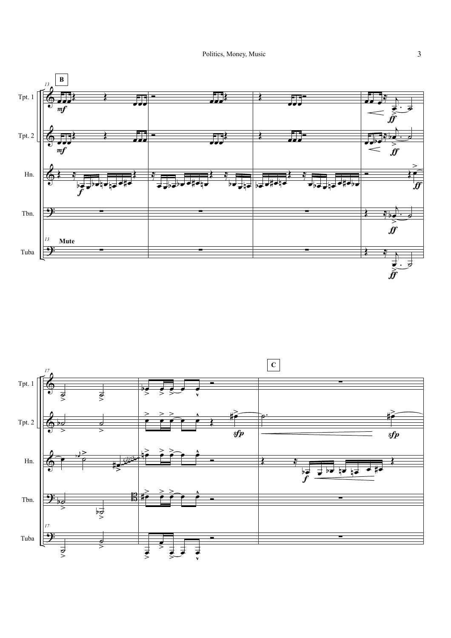

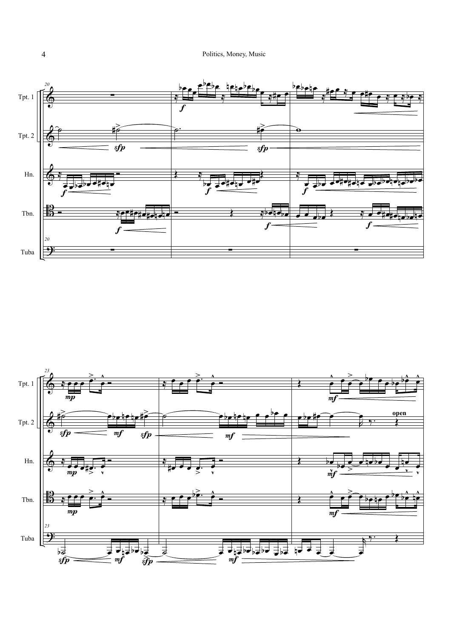



 $\overline{4}$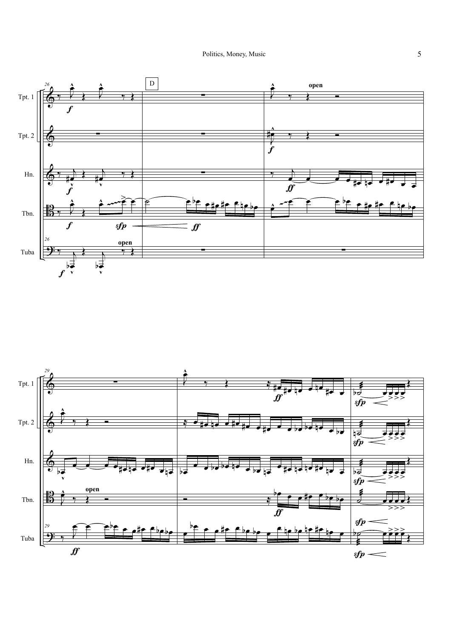

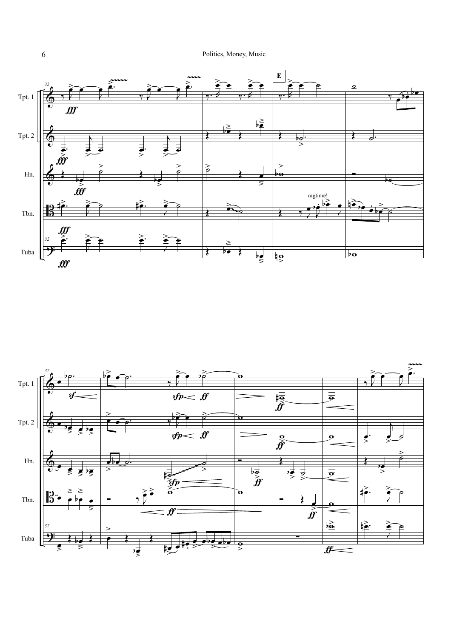



 $\overline{6}$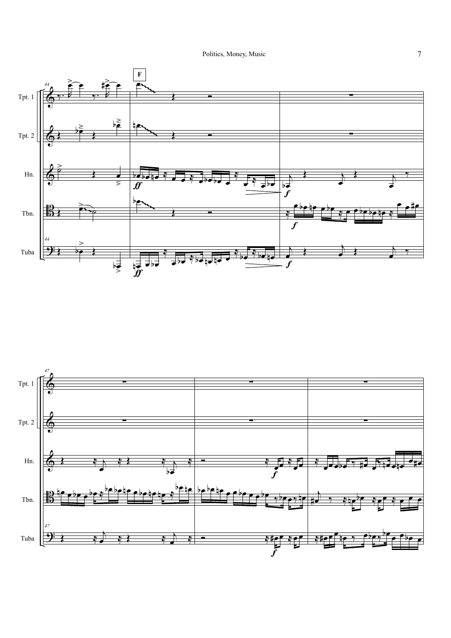

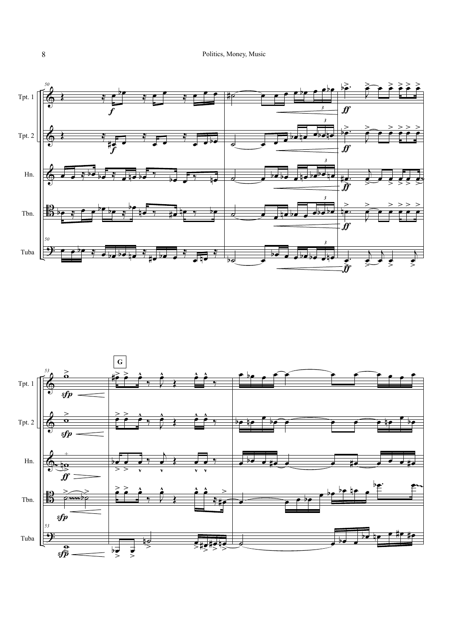

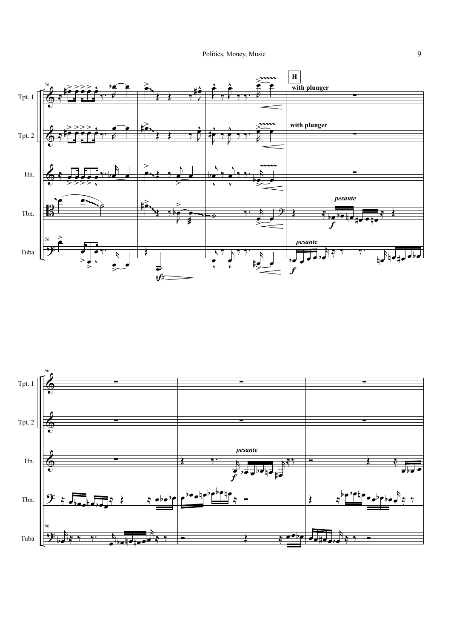

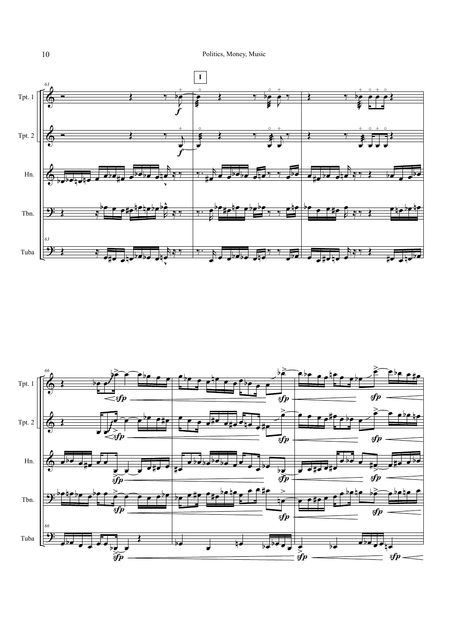

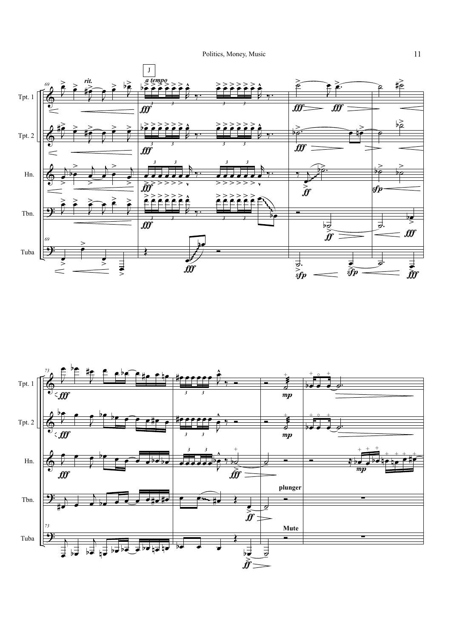

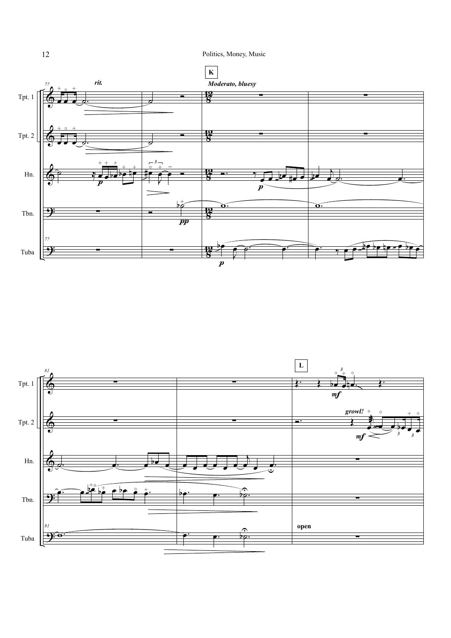

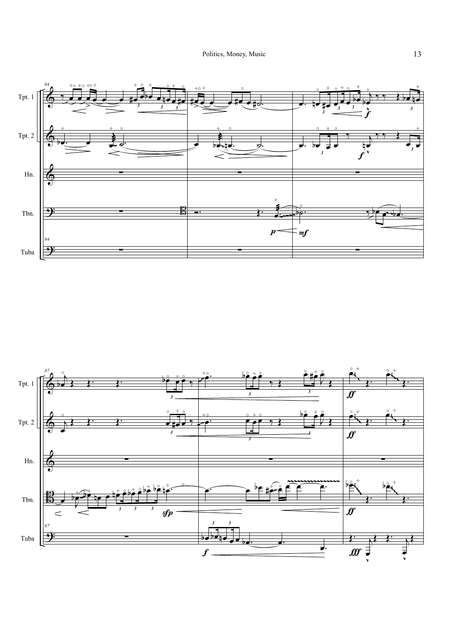

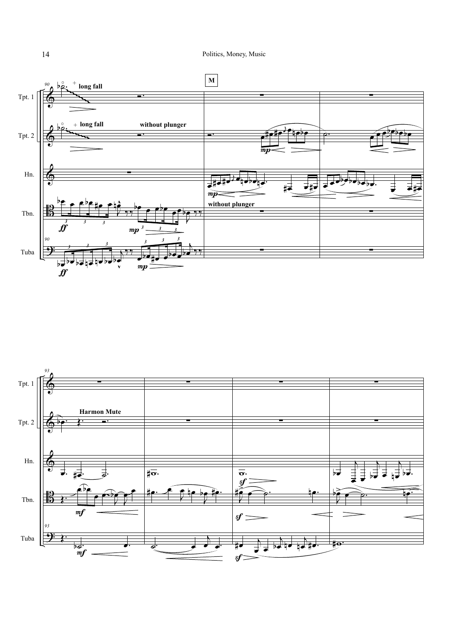

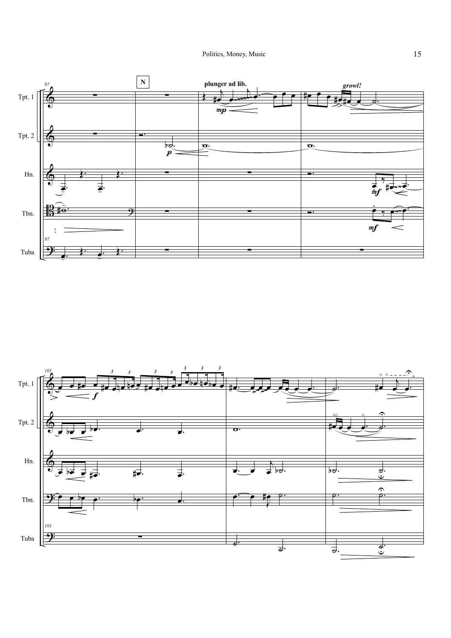

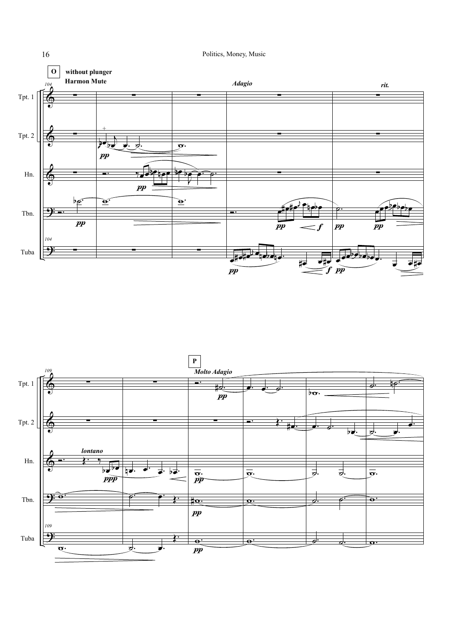

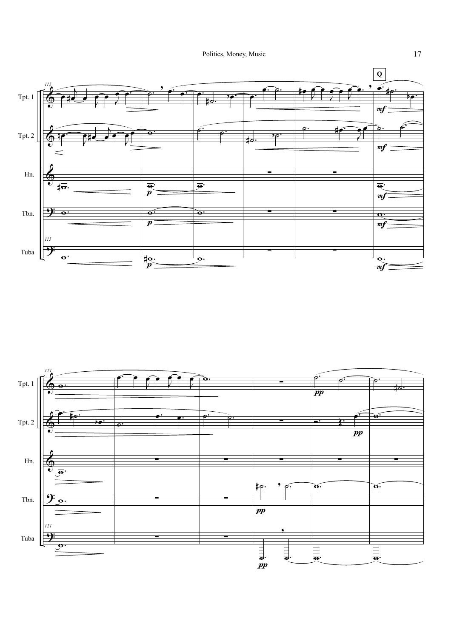